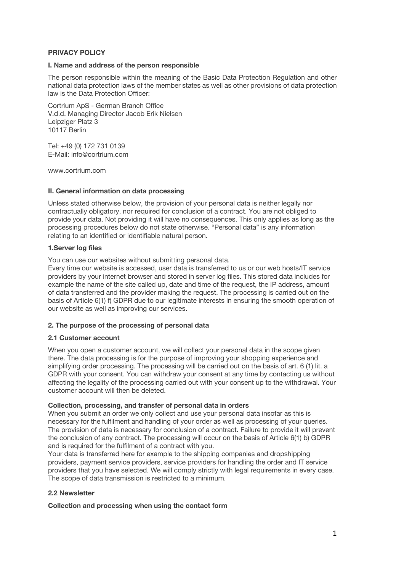# **PRIVACY POLICY**

## **I. Name and address of the person responsible**

The person responsible within the meaning of the Basic Data Protection Regulation and other national data protection laws of the member states as well as other provisions of data protection law is the Data Protection Officer:

Cortrium ApS - German Branch Office V.d.d. Managing Director Jacob Erik Nielsen Leipziger Platz 3 10117 Berlin

Tel: +49 (0) 172 731 0139 E-Mail: info@cortrium.com

www.cortrium.com

### **II. General information on data processing**

Unless stated otherwise below, the provision of your personal data is neither legally nor contractually obligatory, nor required for conclusion of a contract. You are not obliged to provide your data. Not providing it will have no consequences. This only applies as long as the processing procedures below do not state otherwise. "Personal data" is any information relating to an identified or identifiable natural person.

### **1.Server log files**

You can use our websites without submitting personal data.

Every time our website is accessed, user data is transferred to us or our web hosts/IT service providers by your internet browser and stored in server log files. This stored data includes for example the name of the site called up, date and time of the request, the IP address, amount of data transferred and the provider making the request. The processing is carried out on the basis of Article 6(1) f) GDPR due to our legitimate interests in ensuring the smooth operation of our website as well as improving our services.

# **2. The purpose of the processing of personal data**

## **2.1 Customer account**

When you open a customer account, we will collect your personal data in the scope given there. The data processing is for the purpose of improving your shopping experience and simplifying order processing. The processing will be carried out on the basis of art. 6 (1) lit. a GDPR with your consent. You can withdraw your consent at any time by contacting us without affecting the legality of the processing carried out with your consent up to the withdrawal. Your customer account will then be deleted.

#### **Collection, processing, and transfer of personal data in orders**

When you submit an order we only collect and use your personal data insofar as this is necessary for the fulfilment and handling of your order as well as processing of your queries. The provision of data is necessary for conclusion of a contract. Failure to provide it will prevent the conclusion of any contract. The processing will occur on the basis of Article 6(1) b) GDPR and is required for the fulfilment of a contract with you.

Your data is transferred here for example to the shipping companies and dropshipping providers, payment service providers, service providers for handling the order and IT service providers that you have selected. We will comply strictly with legal requirements in every case. The scope of data transmission is restricted to a minimum.

# **2.2 Newsletter**

#### **Collection and processing when using the contact form**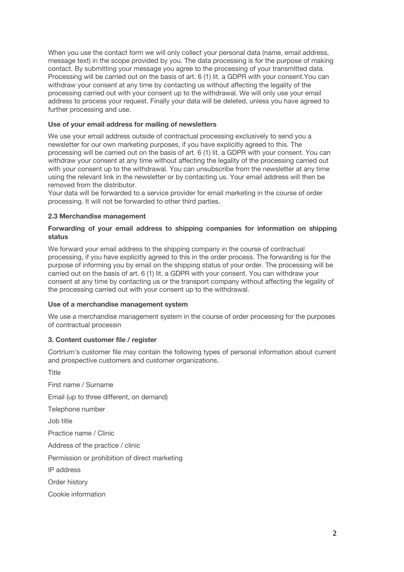When you use the contact form we will only collect your personal data (name, email address, message text) in the scope provided by you. The data processing is for the purpose of making contact. By submitting your message you agree to the processing of your transmitted data. Processing will be carried out on the basis of art. 6 (1) lit. a GDPR with your consent.You can withdraw your consent at any time by contacting us without affecting the legality of the processing carried out with your consent up to the withdrawal. We will only use your email address to process your request. Finally your data will be deleted, unless you have agreed to further processing and use.

# **Use of your email address for mailing of newsletters**

We use your email address outside of contractual processing exclusively to send you a newsletter for our own marketing purposes, if you have explicitly agreed to this. The processing will be carried out on the basis of art. 6 (1) lit. a GDPR with your consent. You can withdraw your consent at any time without affecting the legality of the processing carried out with your consent up to the withdrawal. You can unsubscribe from the newsletter at any time using the relevant link in the newsletter or by contacting us. Your email address will then be removed from the distributor.

Your data will be forwarded to a service provider for email marketing in the course of order processing. It will not be forwarded to other third parties.

# **2.3 Merchandise management**

# **Forwarding of your email address to shipping companies for information on shipping status**

We forward your email address to the shipping company in the course of contractual processing, if you have explicitly agreed to this in the order process. The forwarding is for the purpose of informing you by email on the shipping status of your order. The processing will be carried out on the basis of art. 6 (1) lit. a GDPR with your consent. You can withdraw your consent at any time by contacting us or the transport company without affecting the legality of the processing carried out with your consent up to the withdrawal.

#### **Use of a merchandise management system**

We use a merchandise management system in the course of order processing for the purposes of contractual processin

# **3. Content customer file / register**

Cortrium's customer file may contain the following types of personal information about current and prospective customers and customer organizations.

Title First name / Surname Email (up to three different, on demand) Telephone number Job title Practice name / Clinic Address of the practice / clinic Permission or prohibition of direct marketing IP address Order history Cookie information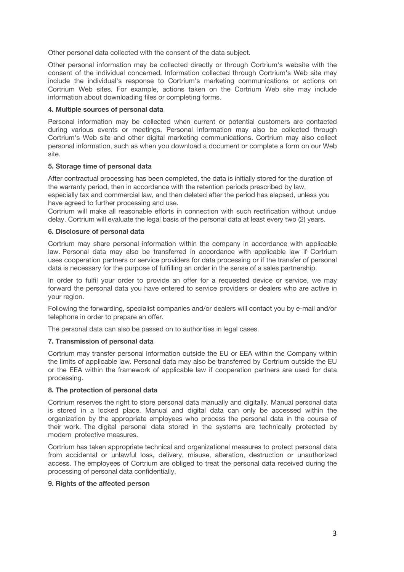Other personal data collected with the consent of the data subject.

Other personal information may be collected directly or through Cortrium's website with the consent of the individual concerned. Information collected through Cortrium's Web site may include the individual's response to Cortrium's marketing communications or actions on Cortrium Web sites. For example, actions taken on the Cortrium Web site may include information about downloading files or completing forms.

## **4. Multiple sources of personal data**

Personal information may be collected when current or potential customers are contacted during various events or meetings. Personal information may also be collected through Cortrium's Web site and other digital marketing communications. Cortrium may also collect personal information, such as when you download a document or complete a form on our Web site.

### **5. Storage time of personal data**

After contractual processing has been completed, the data is initially stored for the duration of the warranty period, then in accordance with the retention periods prescribed by law, especially tax and commercial law, and then deleted after the period has elapsed, unless you have agreed to further processing and use.

Cortrium will make all reasonable efforts in connection with such rectification without undue delay. Cortrium will evaluate the legal basis of the personal data at least every two (2) years.

### **6. Disclosure of personal data**

Cortrium may share personal information within the company in accordance with applicable law. Personal data may also be transferred in accordance with applicable law if Cortrium uses cooperation partners or service providers for data processing or if the transfer of personal data is necessary for the purpose of fulfilling an order in the sense of a sales partnership.

In order to fulfil your order to provide an offer for a requested device or service, we may forward the personal data you have entered to service providers or dealers who are active in your region.

Following the forwarding, specialist companies and/or dealers will contact you by e-mail and/or telephone in order to prepare an offer.

The personal data can also be passed on to authorities in legal cases.

# **7. Transmission of personal data**

Cortrium may transfer personal information outside the EU or EEA within the Company within the limits of applicable law. Personal data may also be transferred by Cortrium outside the EU or the EEA within the framework of applicable law if cooperation partners are used for data processing.

#### **8. The protection of personal data**

Cortrium reserves the right to store personal data manually and digitally. Manual personal data is stored in a locked place. Manual and digital data can only be accessed within the organization by the appropriate employees who process the personal data in the course of their work. The digital personal data stored in the systems are technically protected by modern protective measures.

Cortrium has taken appropriate technical and organizational measures to protect personal data from accidental or unlawful loss, delivery, misuse, alteration, destruction or unauthorized access. The employees of Cortrium are obliged to treat the personal data received during the processing of personal data confidentially.

#### **9. Rights of the affected person**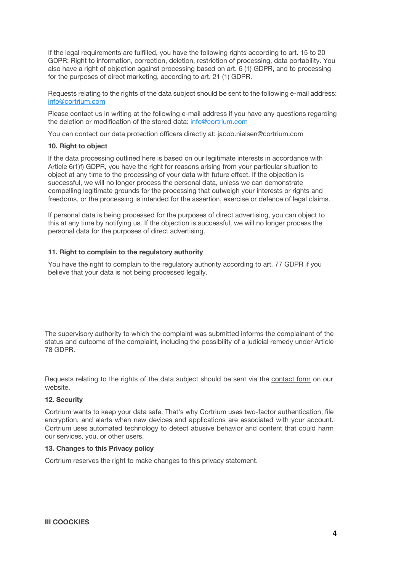If the legal requirements are fulfilled, you have the following rights according to art. 15 to 20 GDPR: Right to information, correction, deletion, restriction of processing, data portability. You also have a right of objection against processing based on art. 6 (1) GDPR, and to processing for the purposes of direct marketing, according to art. 21 (1) GDPR.

Requests relating to the rights of the data subject should be sent to the following e-mail address: info@cortrium.com

Please contact us in writing at the following e-mail address if you have any questions regarding the deletion or modification of the stored data: info@cortrium.com

You can contact our data protection officers directly at: jacob.nielsen@cortrium.com

## **10. Right to object**

If the data processing outlined here is based on our legitimate interests in accordance with Article 6(1)f) GDPR, you have the right for reasons arising from your particular situation to object at any time to the processing of your data with future effect. If the objection is successful, we will no longer process the personal data, unless we can demonstrate compelling legitimate grounds for the processing that outweigh your interests or rights and freedoms, or the processing is intended for the assertion, exercise or defence of legal claims.

If personal data is being processed for the purposes of direct advertising, you can object to this at any time by notifying us. If the objection is successful, we will no longer process the personal data for the purposes of direct advertising.

### **11. Right to complain to the regulatory authority**

You have the right to complain to the regulatory authority according to art. 77 GDPR if you believe that your data is not being processed legally.

The supervisory authority to which the complaint was submitted informs the complainant of the status and outcome of the complaint, including the possibility of a judicial remedy under Article 78 GDPR.

Requests relating to the rights of the data subject should be sent via the contact form on our website.

# **12. Security**

Cortrium wants to keep your data safe. That's why Cortrium uses two-factor authentication, file encryption, and alerts when new devices and applications are associated with your account. Cortrium uses automated technology to detect abusive behavior and content that could harm our services, you, or other users.

#### **13. Changes to this Privacy policy**

Cortrium reserves the right to make changes to this privacy statement.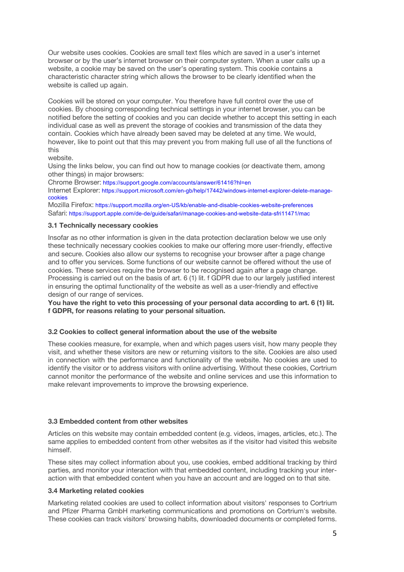Our website uses cookies. Cookies are small text files which are saved in a user's internet browser or by the user's internet browser on their computer system. When a user calls up a website, a cookie may be saved on the user's operating system. This cookie contains a characteristic character string which allows the browser to be clearly identified when the website is called up again.

Cookies will be stored on your computer. You therefore have full control over the use of cookies. By choosing corresponding technical settings in your internet browser, you can be notified before the setting of cookies and you can decide whether to accept this setting in each individual case as well as prevent the storage of cookies and transmission of the data they contain. Cookies which have already been saved may be deleted at any time. We would, however, like to point out that this may prevent you from making full use of all the functions of this

website.

Using the links below, you can find out how to manage cookies (or deactivate them, among other things) in major browsers:

Chrome Browser: https://support.google.com/accounts/answer/61416?hl=en

Internet Explorer: https://support.microsoft.com/en-gb/help/17442/windows-internet-explorer-delete-managecookies

Mozilla Firefox: https://support.mozilla.org/en-US/kb/enable-and-disable-cookies-website-preferences Safari: https://support.apple.com/de-de/guide/safari/manage-cookies-and-website-data-sfri11471/mac

### **3.1 Technically necessary cookies**

Insofar as no other information is given in the data protection declaration below we use only these technically necessary cookies cookies to make our offering more user-friendly, effective and secure. Cookies also allow our systems to recognise your browser after a page change and to offer you services. Some functions of our website cannot be offered without the use of cookies. These services require the browser to be recognised again after a page change. Processing is carried out on the basis of art. 6 (1) lit. f GDPR due to our largely justified interest in ensuring the optimal functionality of the website as well as a user-friendly and effective design of our range of services.

**You have the right to veto this processing of your personal data according to art. 6 (1) lit. f GDPR, for reasons relating to your personal situation.**

#### **3.2 Cookies to collect general information about the use of the website**

These cookies measure, for example, when and which pages users visit, how many people they visit, and whether these visitors are new or returning visitors to the site. Cookies are also used in connection with the performance and functionality of the website. No cookies are used to identify the visitor or to address visitors with online advertising. Without these cookies, Cortrium cannot monitor the performance of the website and online services and use this information to make relevant improvements to improve the browsing experience.

# **3.3 Embedded content from other websites**

Articles on this website may contain embedded content (e.g. videos, images, articles, etc.). The same applies to embedded content from other websites as if the visitor had visited this website himself.

These sites may collect information about you, use cookies, embed additional tracking by third parties, and monitor your interaction with that embedded content, including tracking your interaction with that embedded content when you have an account and are logged on to that site.

#### **3.4 Marketing related cookies**

Marketing related cookies are used to collect information about visitors' responses to Cortrium and Pfizer Pharma GmbH marketing communications and promotions on Cortrium's website. These cookies can track visitors' browsing habits, downloaded documents or completed forms.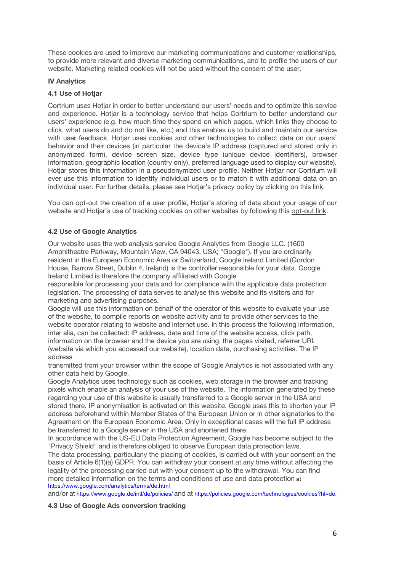These cookies are used to improve our marketing communications and customer relationships, to provide more relevant and diverse marketing communications, and to profile the users of our website. Marketing related cookies will not be used without the consent of the user.

## **IV Analytics**

## **4.1 Use of Hotjar**

Cortrium uses Hotjar in order to better understand our users' needs and to optimize this service and experience. Hotjar is a technology service that helps Cortrium to better understand our users' experience (e.g. how much time they spend on which pages, which links they choose to click, what users do and do not like, etc.) and this enables us to build and maintain our service with user feedback. Hotjar uses cookies and other technologies to collect data on our users' behavior and their devices (in particular the device's IP address (captured and stored only in anonymized form), device screen size, device type (unique device identifiers), browser information, geographic location (country only), preferred language used to display our website). Hotjar stores this information in a pseudonymized user profile. Neither Hotjar nor Cortrium will ever use this information to identify individual users or to match it with additional data on an individual user. For further details, please see Hotiar's privacy policy by clicking on this link.

You can opt-out the creation of a user profile, Hotjar's storing of data about your usage of our website and Hotjar's use of tracking cookies on other websites by following this opt-out link.

### **4.2 Use of Google Analytics**

Our website uses the web analysis service Google Analytics from Google LLC. (1600 Amphitheatre Parkway, Mountain View, CA 94043, USA; "Google"). If you are ordinarily resident in the European Economic Area or Switzerland, Google Ireland Limited (Gordon House, Barrow Street, Dublin 4, Ireland) is the controller responsible for your data. Google Ireland Limited is therefore the company affiliated with Google

responsible for processing your data and for compliance with the applicable data protection legislation. The processing of data serves to analyse this website and its visitors and for marketing and advertising purposes.

Google will use this information on behalf of the operator of this website to evaluate your use of the website, to compile reports on website activity and to provide other services to the website operator relating to website and internet use. In this process the following information, inter alia, can be collected: IP address, date and time of the website access, click path, information on the browser and the device you are using, the pages visited, referrer URL (website via which you accessed our website), location data, purchasing activities. The IP address

transmitted from your browser within the scope of Google Analytics is not associated with any other data held by Google.

Google Analytics uses technology such as cookies, web storage in the browser and tracking pixels which enable an analysis of your use of the website. The information generated by these regarding your use of this website is usually transferred to a Google server in the USA and stored there. IP anonymisation is activated on this website. Google uses this to shorten your IP address beforehand within Member States of the European Union or in other signatories to the Agreement on the European Economic Area. Only in exceptional cases will the full IP address be transferred to a Google server in the USA and shortened there.

In accordance with the US-EU Data Protection Agreement, Google has become subject to the "Privacy Shield" and is therefore obliged to observe European data protection laws.

The data processing, particularly the placing of cookies, is carried out with your consent on the basis of Article 6(1)(a) GDPR. You can withdraw your consent at any time without affecting the legality of the processing carried out with your consent up to the withdrawal. You can find more detailed information on the terms and conditions of use and data protection at https://www.google.com/analytics/terms/de.html

and/or at https://www.google.de/intl/de/policies/ and at https://policies.google.com/technologies/cookies?hl=de.

### **4.3 Use of Google Ads conversion tracking**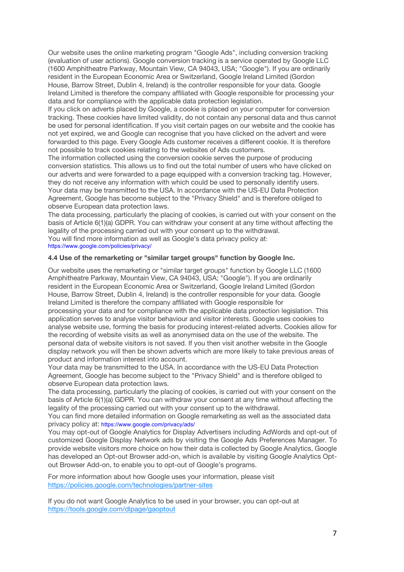Our website uses the online marketing program "Google Ads", including conversion tracking (evaluation of user actions). Google conversion tracking is a service operated by Google LLC (1600 Amphitheatre Parkway, Mountain View, CA 94043, USA; "Google"). If you are ordinarily resident in the European Economic Area or Switzerland, Google Ireland Limited (Gordon House, Barrow Street, Dublin 4, Ireland) is the controller responsible for your data. Google Ireland Limited is therefore the company affiliated with Google responsible for processing your data and for compliance with the applicable data protection legislation.

If you click on adverts placed by Google, a cookie is placed on your computer for conversion tracking. These cookies have limited validity, do not contain any personal data and thus cannot be used for personal identification. If you visit certain pages on our website and the cookie has not yet expired, we and Google can recognise that you have clicked on the advert and were forwarded to this page. Every Google Ads customer receives a different cookie. It is therefore not possible to track cookies relating to the websites of Ads customers.

The information collected using the conversion cookie serves the purpose of producing conversion statistics. This allows us to find out the total number of users who have clicked on our adverts and were forwarded to a page equipped with a conversion tracking tag. However, they do not receive any information with which could be used to personally identify users. Your data may be transmitted to the USA. In accordance with the US-EU Data Protection Agreement, Google has become subject to the "Privacy Shield" and is therefore obliged to observe European data protection laws.

The data processing, particularly the placing of cookies, is carried out with your consent on the basis of Article 6(1)(a) GDPR. You can withdraw your consent at any time without affecting the legality of the processing carried out with your consent up to the withdrawal. You will find more information as well as Google's data privacy policy at: https://www.google.com/policies/privacy/

## **4.4 Use of the remarketing or "similar target groups" function by Google Inc.**

Our website uses the remarketing or "similar target groups" function by Google LLC (1600 Amphitheatre Parkway, Mountain View, CA 94043, USA; "Google"). If you are ordinarily resident in the European Economic Area or Switzerland, Google Ireland Limited (Gordon House, Barrow Street, Dublin 4, Ireland) is the controller responsible for your data. Google Ireland Limited is therefore the company affiliated with Google responsible for processing your data and for compliance with the applicable data protection legislation. This application serves to analyse visitor behaviour and visitor interests. Google uses cookies to analyse website use, forming the basis for producing interest-related adverts. Cookies allow for the recording of website visits as well as anonymised data on the use of the website. The personal data of website visitors is not saved. If you then visit another website in the Google display network you will then be shown adverts which are more likely to take previous areas of product and information interest into account.

Your data may be transmitted to the USA. In accordance with the US-EU Data Protection Agreement, Google has become subject to the "Privacy Shield" and is therefore obliged to observe European data protection laws.

The data processing, particularly the placing of cookies, is carried out with your consent on the basis of Article 6(1)(a) GDPR. You can withdraw your consent at any time without affecting the legality of the processing carried out with your consent up to the withdrawal.

You can find more detailed information on Google remarketing as well as the associated data privacy policy at: https://www.google.com/privacy/ads/

You may opt-out of Google Analytics for Display Advertisers including AdWords and opt-out of customized Google Display Network ads by visiting the Google Ads Preferences Manager. To provide website visitors more choice on how their data is collected by Google Analytics, Google has developed an Opt-out Browser add-on, which is available by visiting Google Analytics Optout Browser Add-on, to enable you to opt-out of Google's programs.

For more information about how Google uses your information, please visit https://policies.google.com/technologies/partner-sites

If you do not want Google Analytics to be used in your browser, you can opt-out at https://tools.google.com/dlpage/gaoptout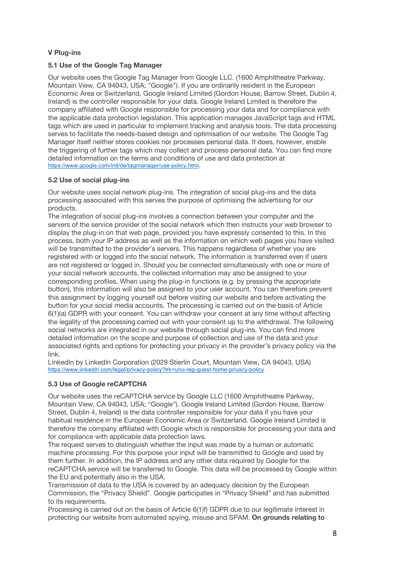# **V Plug-ins**

# **5.1 Use of the Google Tag Manager**

Our website uses the Google Tag Manager from Google LLC. (1600 Amphitheatre Parkway, Mountain View, CA 94043, USA; "Google"). If you are ordinarily resident in the European Economic Area or Switzerland, Google Ireland Limited (Gordon House, Barrow Street, Dublin 4, Ireland) is the controller responsible for your data. Google Ireland Limited is therefore the company affiliated with Google responsible for processing your data and for compliance with the applicable data protection legislation. This application manages JavaScript tags and HTML tags which are used in particular to implement tracking and analysis tools. The data processing serves to facilitate the needs-based design and optimisation of our website. The Google Tag Manager itself neither stores cookies nor processes personal data. It does, however, enable the triggering of further tags which may collect and process personal data. You can find more detailed information on the terms and conditions of use and data protection at https://www.google.com/intl/de/tagmanager/use-policy.html.

# **5.2 Use of social plug-ins**

Our website uses social network plug-ins. The integration of social plug-ins and the data processing associated with this serves the purpose of optimising the advertising for our products.

The integration of social plug-ins involves a connection between your computer and the servers of the service provider of the social network which then instructs your web browser to display the plug-in on that web page, provided you have expressly consented to this. In this process, both your IP address as well as the information on which web pages you have visited will be transmitted to the provider's servers. This happens regardless of whether you are registered with or logged into the social network. The information is transferred even if users are not registered or logged in. Should you be connected simultaneously with one or more of your social network accounts, the collected information may also be assigned to your corresponding profiles. When using the plug-in functions (e.g. by pressing the appropriate button), this information will also be assigned to your user account. You can therefore prevent this assignment by logging yourself out before visiting our website and before activating the button for your social media accounts. The processing is carried out on the basis of Article 6(1)(a) GDPR with your consent. You can withdraw your consent at any time without affecting the legality of the processing carried out with your consent up to the withdrawal. The following social networks are integrated in our website through social plug-ins. You can find more detailed information on the scope and purpose of collection and use of the data and your associated rights and options for protecting your privacy in the provider's privacy policy via the link.

LinkedIn by LinkedIn Corporation (2029 Stierlin Court, Mountain View, CA 94043, USA) https://www.linkedin.com/legal/privacy-policy?trk=uno-reg-guest-home-privacy-policy

# **5.3 Use of Google reCAPTCHA**

Our website uses the reCAPTCHA service by Google LLC (1600 Amphitheatre Parkway, Mountain View, CA 94043, USA; "Google"). Google Ireland Limited (Gordon House, Barrow Street, Dublin 4, Ireland) is the data controller responsible for your data if you have your habitual residence in the European Economic Area or Switzerland. Google Ireland Limited is therefore the company affiliated with Google which is responsible for processing your data and for compliance with applicable data protection laws.

The request serves to distinguish whether the input was made by a human or automatic machine processing. For this purpose your input will be transmitted to Google and used by them further. In addition, the IP address and any other data required by Google for the reCAPTCHA service will be transferred to Google. This data will be processed by Google within the EU and potentially also in the USA.

Transmission of data to the USA is covered by an adequacy decision by the European Commission, the "Privacy Shield". Google participates in "Privacy Shield" and has submitted to its requirements.

Processing is carried out on the basis of Article 6(1)f) GDPR due to our legitimate interest in protecting our website from automated spying, misuse and SPAM. **On grounds relating to**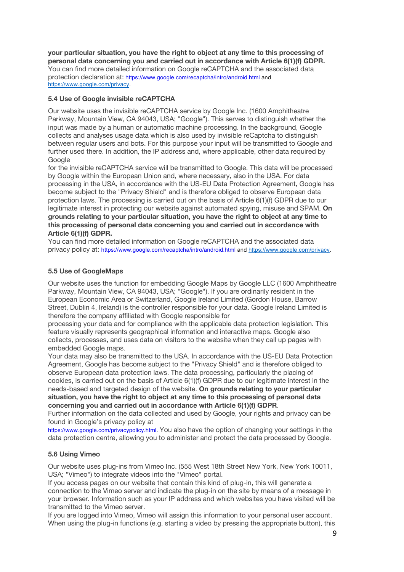**your particular situation, you have the right to object at any time to this processing of personal data concerning you and carried out in accordance with Article 6(1)(f) GDPR.** You can find more detailed information on Google reCAPTCHA and the associated data protection declaration at: https://www.google.com/recaptcha/intro/android.html and https://www.google.com/privacy.

# **5.4 Use of Google invisible reCAPTCHA**

Our website uses the invisible reCAPTCHA service by Google Inc. (1600 Amphitheatre Parkway, Mountain View, CA 94043, USA; "Google"). This serves to distinguish whether the input was made by a human or automatic machine processing. In the background, Google collects and analyses usage data which is also used by invisible reCaptcha to distinguish between regular users and bots. For this purpose your input will be transmitted to Google and further used there. In addition, the IP address and, where applicable, other data required by Google

for the invisible reCAPTCHA service will be transmitted to Google. This data will be processed by Google within the European Union and, where necessary, also in the USA. For data processing in the USA, in accordance with the US-EU Data Protection Agreement, Google has become subject to the "Privacy Shield" and is therefore obliged to observe European data protection laws. The processing is carried out on the basis of Article 6(1)(f) GDPR due to our legitimate interest in protecting our website against automated spying, misuse and SPAM. **On grounds relating to your particular situation, you have the right to object at any time to this processing of personal data concerning you and carried out in accordance with Article 6(1)(f) GDPR.**

You can find more detailed information on Google reCAPTCHA and the associated data privacy policy at: https://www.google.com/recaptcha/intro/android.html and https://www.google.com/privacy.

# **5.5 Use of GoogleMaps**

Our website uses the function for embedding Google Maps by Google LLC (1600 Amphitheatre Parkway, Mountain View, CA 94043, USA; "Google"). If you are ordinarily resident in the European Economic Area or Switzerland, Google Ireland Limited (Gordon House, Barrow Street, Dublin 4, Ireland) is the controller responsible for your data. Google Ireland Limited is therefore the company affiliated with Google responsible for

processing your data and for compliance with the applicable data protection legislation. This feature visually represents geographical information and interactive maps. Google also collects, processes, and uses data on visitors to the website when they call up pages with embedded Google maps.

Your data may also be transmitted to the USA. In accordance with the US-EU Data Protection Agreement, Google has become subject to the "Privacy Shield" and is therefore obliged to observe European data protection laws. The data processing, particularly the placing of cookies, is carried out on the basis of Article 6(1)(f) GDPR due to our legitimate interest in the needs-based and targeted design of the website. **On grounds relating to your particular situation, you have the right to object at any time to this processing of personal data concerning you and carried out in accordance with Article 6(1)(f) GDPR**.

Further information on the data collected and used by Google, your rights and privacy can be found in Google's privacy policy at

https://www.google.com/privacypolicy.html. You also have the option of changing your settings in the data protection centre, allowing you to administer and protect the data processed by Google.

# **5.6 Using Vimeo**

Our website uses plug-ins from Vimeo Inc. (555 West 18th Street New York, New York 10011, USA; "Vimeo") to integrate videos into the "Vimeo" portal.

If you access pages on our website that contain this kind of plug-in, this will generate a connection to the Vimeo server and indicate the plug-in on the site by means of a message in your browser. Information such as your IP address and which websites you have visited will be transmitted to the Vimeo server.

If you are logged into Vimeo, Vimeo will assign this information to your personal user account. When using the plug-in functions (e.g. starting a video by pressing the appropriate button), this